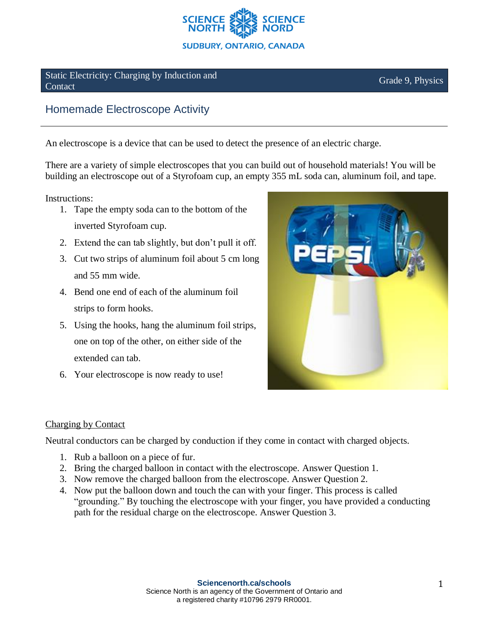

Static Electricity: Charging by Induction and Static Electricity. Charging by Induction and<br>Contact Grade 9, Physics

## Homemade Electroscope Activity

An electroscope is a device that can be used to detect the presence of an electric charge.

There are a variety of simple electroscopes that you can build out of household materials! You will be building an electroscope out of a Styrofoam cup, an empty 355 mL soda can, aluminum foil, and tape.

Instructions:

- 1. Tape the empty soda can to the bottom of the inverted Styrofoam cup.
- 2. Extend the can tab slightly, but don't pull it off.
- 3. Cut two strips of aluminum foil about 5 cm long and 55 mm wide.
- 4. Bend one end of each of the aluminum foil strips to form hooks.
- 5. Using the hooks, hang the aluminum foil strips, one on top of the other, on either side of the extended can tab.
- 6. Your electroscope is now ready to use!



## Charging by Contact

Neutral conductors can be charged by conduction if they come in contact with charged objects.

- 1. Rub a balloon on a piece of fur.
- 2. Bring the charged balloon in contact with the electroscope. Answer Question 1.
- 3. Now remove the charged balloon from the electroscope. Answer Question 2.
- 4. Now put the balloon down and touch the can with your finger. This process is called "grounding." By touching the electroscope with your finger, you have provided a conducting path for the residual charge on the electroscope. Answer Question 3.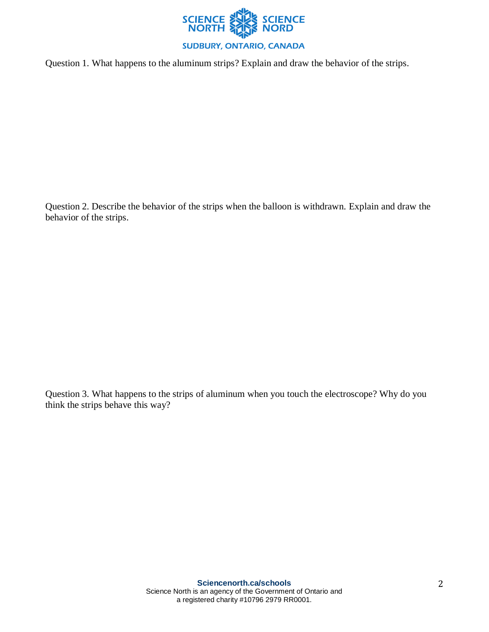

Question 1. What happens to the aluminum strips? Explain and draw the behavior of the strips.

Question 2. Describe the behavior of the strips when the balloon is withdrawn. Explain and draw the behavior of the strips.

Question 3. What happens to the strips of aluminum when you touch the electroscope? Why do you think the strips behave this way?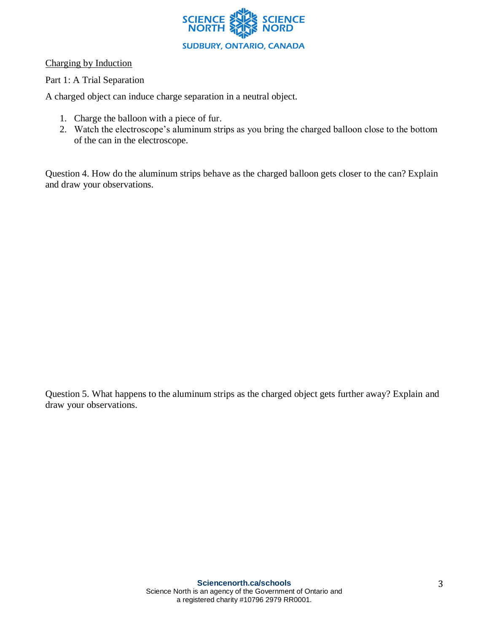

Charging by Induction

## Part 1: A Trial Separation

A charged object can induce charge separation in a neutral object.

- 1. Charge the balloon with a piece of fur.
- 2. Watch the electroscope's aluminum strips as you bring the charged balloon close to the bottom of the can in the electroscope.

Question 4. How do the aluminum strips behave as the charged balloon gets closer to the can? Explain and draw your observations.

Question 5. What happens to the aluminum strips as the charged object gets further away? Explain and draw your observations.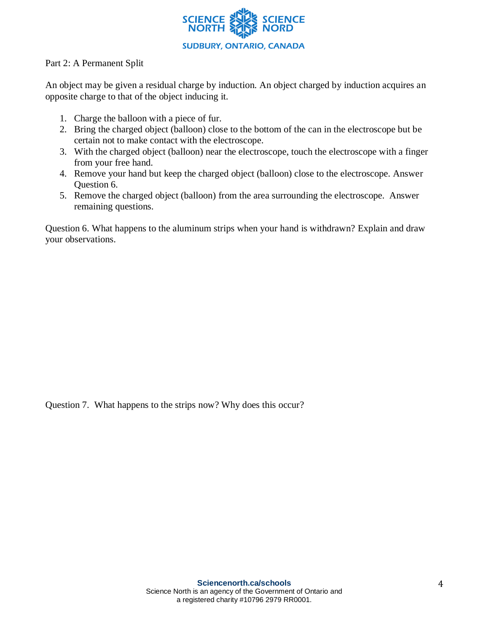

## Part 2: A Permanent Split

An object may be given a residual charge by induction. An object charged by induction acquires an opposite charge to that of the object inducing it.

- 1. Charge the balloon with a piece of fur.
- 2. Bring the charged object (balloon) close to the bottom of the can in the electroscope but be certain not to make contact with the electroscope.
- 3. With the charged object (balloon) near the electroscope, touch the electroscope with a finger from your free hand.
- 4. Remove your hand but keep the charged object (balloon) close to the electroscope. Answer Question 6.
- 5. Remove the charged object (balloon) from the area surrounding the electroscope. Answer remaining questions.

Question 6. What happens to the aluminum strips when your hand is withdrawn? Explain and draw your observations.

Question 7. What happens to the strips now? Why does this occur?